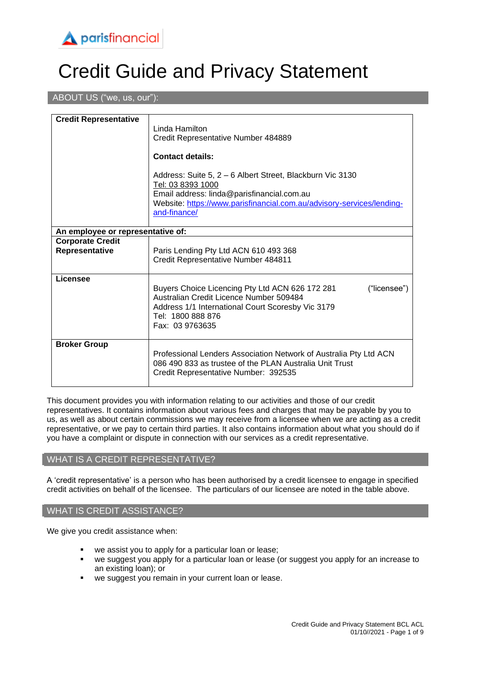

# Credit Guide and Privacy Statement

#### ABOUT US ("we, us, our"):

| <b>Credit Representative</b>              | Linda Hamilton<br>Credit Representative Number 484889                                                                                                                                                                 |  |
|-------------------------------------------|-----------------------------------------------------------------------------------------------------------------------------------------------------------------------------------------------------------------------|--|
|                                           | <b>Contact details:</b>                                                                                                                                                                                               |  |
|                                           | Address: Suite 5, 2 – 6 Albert Street, Blackburn Vic 3130<br>Tel: 03 8393 1000<br>Email address: linda@parisfinancial.com.au<br>Website: https://www.parisfinancial.com.au/advisory-services/lending-<br>and-finance/ |  |
| An employee or representative of:         |                                                                                                                                                                                                                       |  |
| <b>Corporate Credit</b><br>Representative | Paris Lending Pty Ltd ACN 610 493 368<br>Credit Representative Number 484811                                                                                                                                          |  |
| Licensee                                  | Buyers Choice Licencing Pty Ltd ACN 626 172 281<br>("licensee")<br>Australian Credit Licence Number 509484<br>Address 1/1 International Court Scoresby Vic 3179<br>Tel: 1800 888 876<br>Fax: 03 9763635               |  |
| <b>Broker Group</b>                       | Professional Lenders Association Network of Australia Pty Ltd ACN<br>086 490 833 as trustee of the PLAN Australia Unit Trust<br>Credit Representative Number: 392535                                                  |  |

This document provides you with information relating to our activities and those of our credit representatives. It contains information about various fees and charges that may be payable by you to us, as well as about certain commissions we may receive from a licensee when we are acting as a credit representative, or we pay to certain third parties. It also contains information about what you should do if you have a complaint or dispute in connection with our services as a credit representative.

#### WHAT IS A CREDIT REPRESENTATIVE?

A 'credit representative' is a person who has been authorised by a credit licensee to engage in specified credit activities on behalf of the licensee. The particulars of our licensee are noted in the table above.

#### WHAT IS CREDIT ASSISTANCE?

We give you credit assistance when:

- we assist you to apply for a particular loan or lease;
- we suggest you apply for a particular loan or lease (or suggest you apply for an increase to an existing loan); or
- we suggest you remain in your current loan or lease.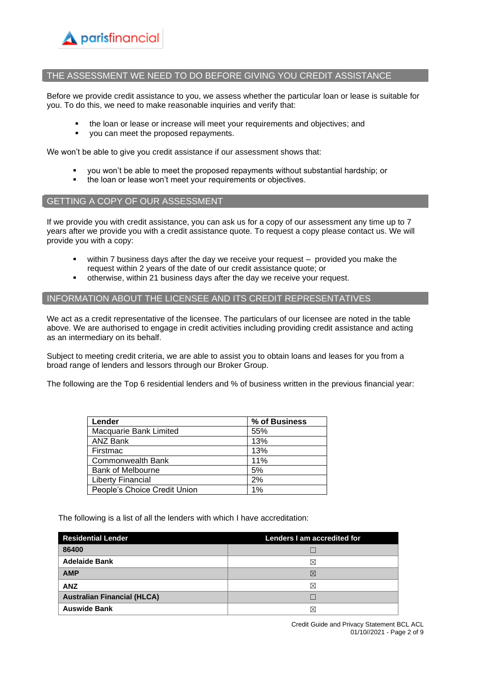

#### THE ASSESSMENT WE NEED TO DO BEFORE GIVING YOU CREDIT ASSISTANCE

Before we provide credit assistance to you, we assess whether the particular loan or lease is suitable for you. To do this, we need to make reasonable inquiries and verify that:

- the loan or lease or increase will meet your requirements and objectives; and
- you can meet the proposed repayments.

We won't be able to give you credit assistance if our assessment shows that:

- you won't be able to meet the proposed repayments without substantial hardship; or
- the loan or lease won't meet your requirements or objectives.

#### GETTING A COPY OF OUR ASSESSMENT

If we provide you with credit assistance, you can ask us for a copy of our assessment any time up to 7 years after we provide you with a credit assistance quote. To request a copy please contact us. We will provide you with a copy:

- within  $7$  business days after the day we receive your request  $-$  provided you make the request within 2 years of the date of our credit assistance quote; or
- otherwise, within 21 business days after the day we receive your request.

#### INFORMATION ABOUT THE LICENSEE AND ITS CREDIT REPRESENTATIVES

We act as a credit representative of the licensee. The particulars of our licensee are noted in the table above. We are authorised to engage in credit activities including providing credit assistance and acting as an intermediary on its behalf.

Subject to meeting credit criteria, we are able to assist you to obtain loans and leases for you from a broad range of lenders and lessors through our Broker Group.

The following are the Top 6 residential lenders and % of business written in the previous financial year:

| Lender                       | % of Business |
|------------------------------|---------------|
| Macquarie Bank Limited       | 55%           |
| ANZ Bank                     | 13%           |
| Firstmac                     | 13%           |
| <b>Commonwealth Bank</b>     | 11%           |
| <b>Bank of Melbourne</b>     | 5%            |
| <b>Liberty Financial</b>     | 2%            |
| People's Choice Credit Union | $1\%$         |

The following is a list of all the lenders with which I have accreditation:

| <b>Residential Lender</b>          | Lenders I am accredited for |
|------------------------------------|-----------------------------|
| 86400                              |                             |
| <b>Adelaide Bank</b>               | ⋉                           |
| <b>AMP</b>                         | $\bowtie$                   |
| <b>ANZ</b>                         | ⋈                           |
| <b>Australian Financial (HLCA)</b> |                             |
| <b>Auswide Bank</b>                | ×                           |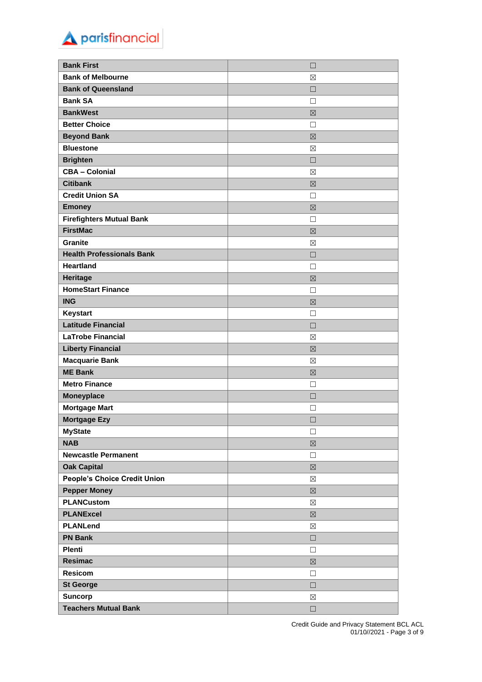| parisfinancial |  |
|----------------|--|
|                |  |

| <b>Bank First</b>                   | $\Box$      |
|-------------------------------------|-------------|
| <b>Bank of Melbourne</b>            | ⊠           |
| <b>Bank of Queensland</b>           | П           |
| <b>Bank SA</b>                      | П           |
| <b>BankWest</b>                     | 区           |
| <b>Better Choice</b>                | П           |
| <b>Beyond Bank</b>                  | $\boxtimes$ |
| <b>Bluestone</b>                    | ⊠           |
| <b>Brighten</b>                     | $\Box$      |
| <b>CBA - Colonial</b>               | ⊠           |
| <b>Citibank</b>                     | 区           |
| <b>Credit Union SA</b>              | □           |
| <b>Emoney</b>                       | 区           |
| <b>Firefighters Mutual Bank</b>     | П           |
| <b>FirstMac</b>                     | 区           |
| <b>Granite</b>                      | $\boxtimes$ |
| <b>Health Professionals Bank</b>    | П           |
| <b>Heartland</b>                    | П           |
| <b>Heritage</b>                     | 区           |
| <b>HomeStart Finance</b>            | П           |
| <b>ING</b>                          | $\boxtimes$ |
| Keystart                            | П           |
| <b>Latitude Financial</b>           | $\Box$      |
| <b>LaTrobe Financial</b>            | ⊠           |
| <b>Liberty Financial</b>            | 区           |
| <b>Macquarie Bank</b>               | ⊠           |
| <b>ME Bank</b>                      | $\boxtimes$ |
| <b>Metro Finance</b>                | П           |
| <b>Moneyplace</b>                   | □           |
| <b>Mortgage Mart</b>                | П           |
| <b>Mortgage Ezy</b>                 | □           |
| <b>MyState</b>                      | $\Box$      |
| <b>NAB</b>                          | $\boxtimes$ |
| <b>Newcastle Permanent</b>          | $\Box$      |
| <b>Oak Capital</b>                  | $\boxtimes$ |
| <b>People's Choice Credit Union</b> | $\boxtimes$ |
| <b>Pepper Money</b>                 | $\boxtimes$ |
| <b>PLANCustom</b>                   | $\boxtimes$ |
| <b>PLANExcel</b>                    | $\boxtimes$ |
| <b>PLANLend</b>                     | ⊠           |
| <b>PN Bank</b>                      | $\Box$      |
| <b>Plenti</b>                       | $\Box$      |
| Resimac                             | $\boxtimes$ |
| <b>Resicom</b>                      | $\Box$      |
| <b>St George</b>                    | $\Box$      |
| <b>Suncorp</b>                      | $\boxtimes$ |
| <b>Teachers Mutual Bank</b>         | $\Box$      |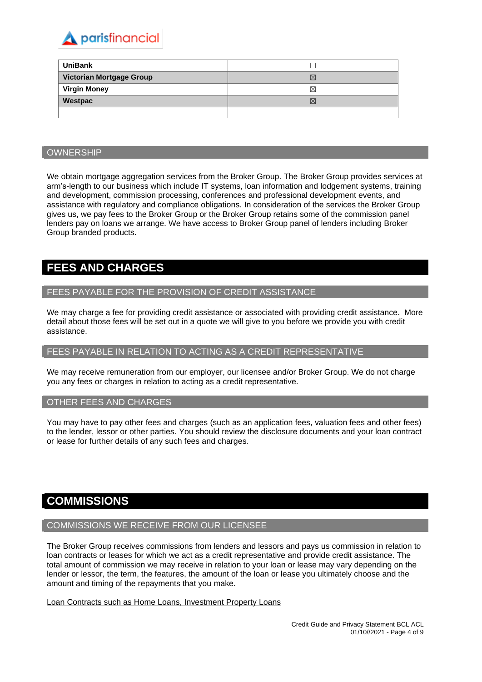

| <b>UniBank</b>           |             |
|--------------------------|-------------|
| Victorian Mortgage Group | $\boxtimes$ |
| <b>Virgin Money</b>      | ⋈           |
| Westpac                  | $\boxtimes$ |
|                          |             |

#### **OWNERSHIP**

We obtain mortgage aggregation services from the Broker Group. The Broker Group provides services at arm's-length to our business which include IT systems, loan information and lodgement systems, training and development, commission processing, conferences and professional development events, and assistance with regulatory and compliance obligations. In consideration of the services the Broker Group gives us, we pay fees to the Broker Group or the Broker Group retains some of the commission panel lenders pay on loans we arrange. We have access to Broker Group panel of lenders including Broker Group branded products.

### **FEES AND CHARGES**

#### FEES PAYABLE FOR THE PROVISION OF CREDIT ASSISTANCE

We may charge a fee for providing credit assistance or associated with providing credit assistance. More detail about those fees will be set out in a quote we will give to you before we provide you with credit assistance.

#### FEES PAYABLE IN RELATION TO ACTING AS A CREDIT REPRESENTATIVE

We may receive remuneration from our employer, our licensee and/or Broker Group. We do not charge you any fees or charges in relation to acting as a credit representative.

#### OTHER FEES AND CHARGES

You may have to pay other fees and charges (such as an application fees, valuation fees and other fees) to the lender, lessor or other parties. You should review the disclosure documents and your loan contract or lease for further details of any such fees and charges.

### **COMMISSIONS**

#### COMMISSIONS WE RECEIVE FROM OUR LICENSEE

The Broker Group receives commissions from lenders and lessors and pays us commission in relation to loan contracts or leases for which we act as a credit representative and provide credit assistance. The total amount of commission we may receive in relation to your loan or lease may vary depending on the lender or lessor, the term, the features, the amount of the loan or lease you ultimately choose and the amount and timing of the repayments that you make.

Loan Contracts such as Home Loans, Investment Property Loans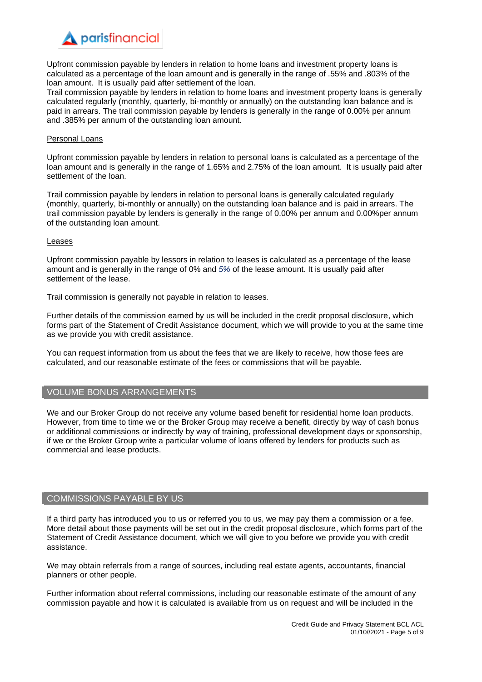Upfront commission payable by lenders in relation to home loans and investment property loans is calculated as a percentage of the loan amount and is generally in the range of .55% and .803% of the loan amount. It is usually paid after settlement of the loan.

Trail commission payable by lenders in relation to home loans and investment property loans is generally calculated regularly (monthly, quarterly, bi-monthly or annually) on the outstanding loan balance and is paid in arrears. The trail commission payable by lenders is generally in the range of 0.00% per annum and .385% per annum of the outstanding loan amount.

#### Personal Loans

Upfront commission payable by lenders in relation to personal loans is calculated as a percentage of the loan amount and is generally in the range of 1.65% and 2.75% of the loan amount. It is usually paid after settlement of the loan.

Trail commission payable by lenders in relation to personal loans is generally calculated regularly (monthly, quarterly, bi-monthly or annually) on the outstanding loan balance and is paid in arrears. The trail commission payable by lenders is generally in the range of 0.00% per annum and 0.00%per annum of the outstanding loan amount.

#### Leases

Upfront commission payable by lessors in relation to leases is calculated as a percentage of the lease amount and is generally in the range of 0% and *5%* of the lease amount. It is usually paid after settlement of the lease.

Trail commission is generally not payable in relation to leases.

Further details of the commission earned by us will be included in the credit proposal disclosure, which forms part of the Statement of Credit Assistance document, which we will provide to you at the same time as we provide you with credit assistance.

You can request information from us about the fees that we are likely to receive, how those fees are calculated, and our reasonable estimate of the fees or commissions that will be payable.

#### VOLUME BONUS ARRANGEMENTS

We and our Broker Group do not receive any volume based benefit for residential home loan products. However, from time to time we or the Broker Group may receive a benefit, directly by way of cash bonus or additional commissions or indirectly by way of training, professional development days or sponsorship, if we or the Broker Group write a particular volume of loans offered by lenders for products such as commercial and lease products.

#### COMMISSIONS PAYABLE BY US

If a third party has introduced you to us or referred you to us, we may pay them a commission or a fee. More detail about those payments will be set out in the credit proposal disclosure, which forms part of the Statement of Credit Assistance document, which we will give to you before we provide you with credit assistance.

We may obtain referrals from a range of sources, including real estate agents, accountants, financial planners or other people.

Further information about referral commissions, including our reasonable estimate of the amount of any commission payable and how it is calculated is available from us on request and will be included in the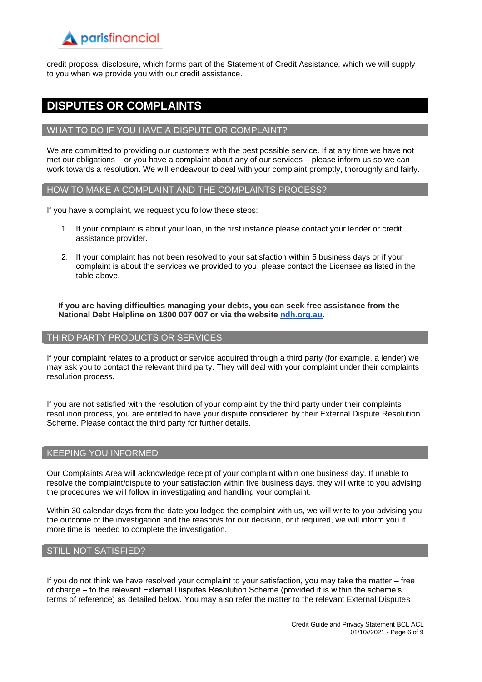credit proposal disclosure, which forms part of the Statement of Credit Assistance, which we will supply to you when we provide you with our credit assistance.

### **DISPUTES OR COMPLAINTS**

#### WHAT TO DO IF YOU HAVE A DISPUTE OR COMPLAINT?

We are committed to providing our customers with the best possible service. If at any time we have not met our obligations – or you have a complaint about any of our services – please inform us so we can work towards a resolution. We will endeavour to deal with your complaint promptly, thoroughly and fairly.

#### HOW TO MAKE A COMPLAINT AND THE COMPLAINTS PROCESS?

If you have a complaint, we request you follow these steps:

- 1. If your complaint is about your loan, in the first instance please contact your lender or credit assistance provider.
- 2. If your complaint has not been resolved to your satisfaction within 5 business days or if your complaint is about the services we provided to you, please contact the Licensee as listed in the table above.

**If you are having difficulties managing your debts, you can seek free assistance from the National Debt Helpline on 1800 007 007 or via the website [ndh.org.au.](http://ndh.org.au/)**

#### THIRD PARTY PRODUCTS OR SERVICES

If your complaint relates to a product or service acquired through a third party (for example, a lender) we may ask you to contact the relevant third party. They will deal with your complaint under their complaints resolution process.

If you are not satisfied with the resolution of your complaint by the third party under their complaints resolution process, you are entitled to have your dispute considered by their External Dispute Resolution Scheme. Please contact the third party for further details.

#### KEEPING YOU INFORMED

Our Complaints Area will acknowledge receipt of your complaint within one business day. If unable to resolve the complaint/dispute to your satisfaction within five business days, they will write to you advising the procedures we will follow in investigating and handling your complaint.

Within 30 calendar days from the date you lodged the complaint with us, we will write to you advising you the outcome of the investigation and the reason/s for our decision, or if required, we will inform you if more time is needed to complete the investigation.

#### STILL NOT SATISFIED?

If you do not think we have resolved your complaint to your satisfaction, you may take the matter – free of charge – to the relevant External Disputes Resolution Scheme (provided it is within the scheme's terms of reference) as detailed below. You may also refer the matter to the relevant External Disputes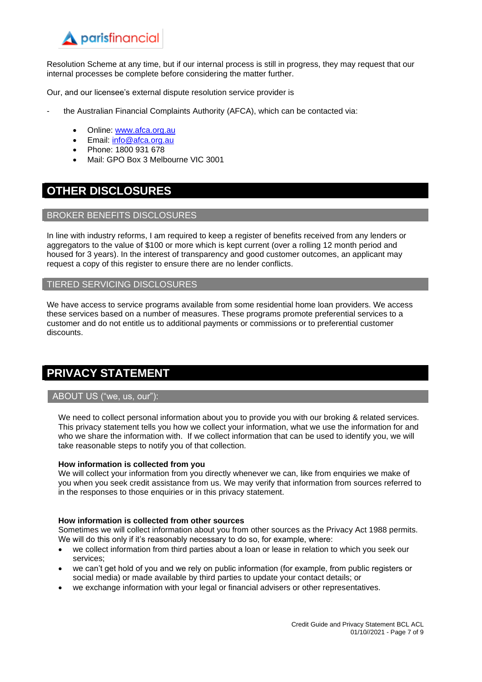Resolution Scheme at any time, but if our internal process is still in progress, they may request that our internal processes be complete before considering the matter further.

Our, and our licensee's external dispute resolution service provider is

- the Australian Financial Complaints Authority (AFCA), which can be contacted via:
	- Online: [www.afca.org.au](http://www.afca.org.au/)
	- Email: [info@afca.org.au](mailto:info@afc.org.au)
	- Phone: 1800 931 678
	- Mail: GPO Box 3 Melbourne VIC 3001

### **OTHER DISCLOSURES**

#### BROKER BENEFITS DISCLOSURES

In line with industry reforms, I am required to keep a register of benefits received from any lenders or aggregators to the value of \$100 or more which is kept current (over a rolling 12 month period and housed for 3 years). In the interest of transparency and good customer outcomes, an applicant may request a copy of this register to ensure there are no lender conflicts.

#### TIERED SERVICING DISCLOSURES

We have access to service programs available from some residential home loan providers. We access these services based on a number of measures. These programs promote preferential services to a customer and do not entitle us to additional payments or commissions or to preferential customer discounts.

### **PRIVACY STATEMENT**

#### ABOUT US ("we, us, our"):

We need to collect personal information about you to provide you with our broking & related services. This privacy statement tells you how we collect your information, what we use the information for and who we share the information with. If we collect information that can be used to identify you, we will take reasonable steps to notify you of that collection.

#### **How information is collected from you**

We will collect your information from you directly whenever we can, like from enquiries we make of you when you seek credit assistance from us. We may verify that information from sources referred to in the responses to those enquiries or in this privacy statement.

#### **How information is collected from other sources**

Sometimes we will collect information about you from other sources as the Privacy Act 1988 permits. We will do this only if it's reasonably necessary to do so, for example, where:

- we collect information from third parties about a loan or lease in relation to which you seek our services;
- we can't get hold of you and we rely on public information (for example, from public registers or social media) or made available by third parties to update your contact details; or
- we exchange information with your legal or financial advisers or other representatives.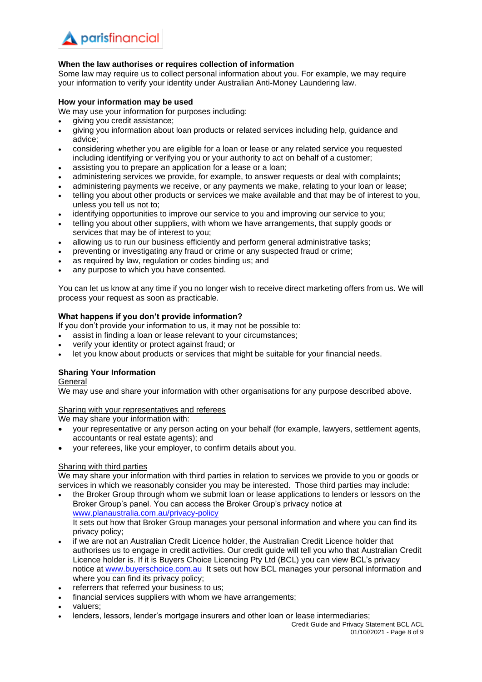#### **When the law authorises or requires collection of information**

Some law may require us to collect personal information about you. For example, we may require your information to verify your identity under Australian Anti-Money Laundering law.

#### **How your information may be used**

We may use your information for purposes including:

- giving you credit assistance;
- giving you information about loan products or related services including help, guidance and advice;
- considering whether you are eligible for a loan or lease or any related service you requested including identifying or verifying you or your authority to act on behalf of a customer;
- assisting you to prepare an application for a lease or a loan;
- administering services we provide, for example, to answer requests or deal with complaints;
- administering payments we receive, or any payments we make, relating to your loan or lease;
- telling you about other products or services we make available and that may be of interest to you, unless you tell us not to;
- identifying opportunities to improve our service to you and improving our service to you;
- telling you about other suppliers, with whom we have arrangements, that supply goods or services that may be of interest to you;
- allowing us to run our business efficiently and perform general administrative tasks;
- preventing or investigating any fraud or crime or any suspected fraud or crime;
- as required by law, regulation or codes binding us; and
- any purpose to which you have consented.

You can let us know at any time if you no longer wish to receive direct marketing offers from us. We will process your request as soon as practicable.

#### **What happens if you don't provide information?**

If you don't provide your information to us, it may not be possible to:

- assist in finding a loan or lease relevant to your circumstances;
- verify your identity or protect against fraud; or
- let you know about products or services that might be suitable for your financial needs.

#### **Sharing Your Information**

#### General

We may use and share your information with other organisations for any purpose described above.

#### Sharing with your representatives and referees

We may share your information with:

- your representative or any person acting on your behalf (for example, lawyers, settlement agents, accountants or real estate agents); and
- your referees, like your employer, to confirm details about you.

#### Sharing with third parties

We may share your information with third parties in relation to services we provide to you or goods or services in which we reasonably consider you may be interested. Those third parties may include:

- the Broker Group through whom we submit loan or lease applications to lenders or lessors on the Broker Group's panel. You can access the Broker Group's privacy notice at [www.planaustralia.com.au/privacy-](http://www.planaustralia.com.au/privacy)policy It sets out how that Broker Group manages your personal information and where you can find its privacy policy;
- if we are not an Australian Credit Licence holder, the Australian Credit Licence holder that authorises us to engage in credit activities. Our credit guide will tell you who that Australian Credit Licence holder is. If it is Buyers Choice Licencing Pty Ltd (BCL) you can view BCL's privacy notice at [www.buyerschoice.com.au](http://www.buyerschoice.com.au/) It sets out how BCL manages your personal information and where you can find its privacy policy;
- referrers that referred your business to us;
- financial services suppliers with whom we have arrangements;
- valuers;
- lenders, lessors, lender's mortgage insurers and other loan or lease intermediaries;